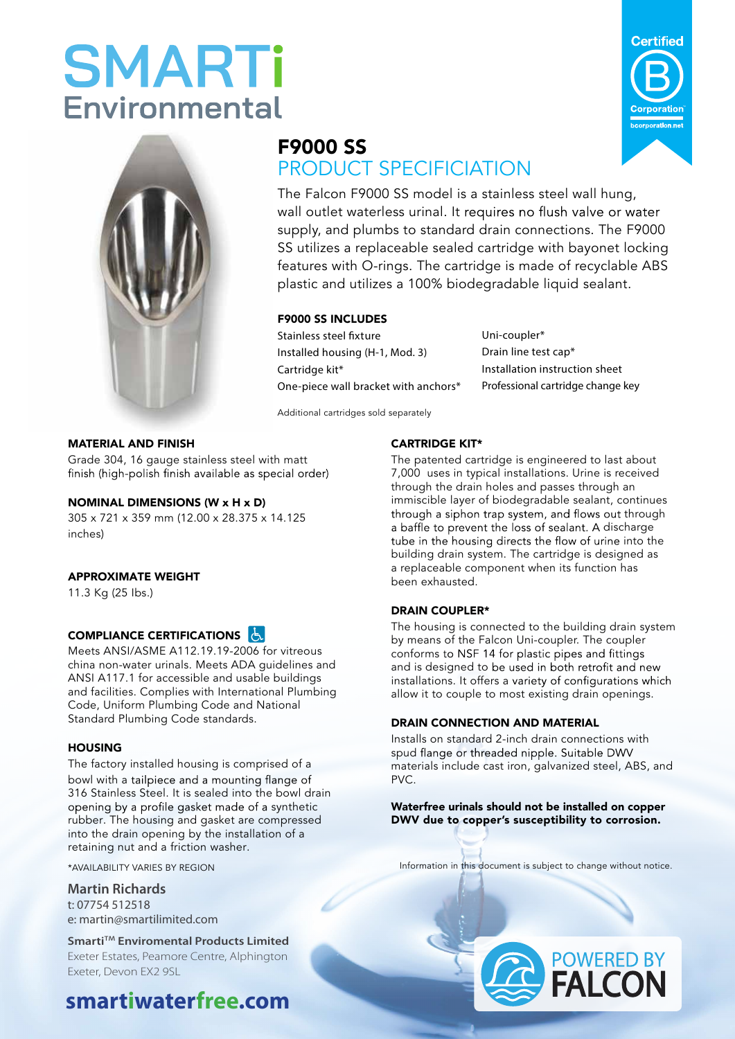# **SMARTi Environmental**



### F9000 SS PRODUCT SPECIFICIATION

The Falcon F9000 SS model is a stainless steel wall hung, wall outlet waterless urinal. It requires no flush valve or water supply, and plumbs to standard drain connections. The F9000 SS utilizes a replaceable sealed cartridge with bayonet locking features with O-rings. The cartridge is made of recyclable ABS plastic and utilizes a 100% biodegradable liquid sealant.

#### F9000 SS INCLUDES

Stainless steel fixture Installed housing (H-1, Mod. 3) Cartridge kit\* One-piece wall bracket with anchors\*

Uni-coupler\* Drain line test cap\* Installation instruction sheet Professional cartridge change key

Additional cartridges sold separately

#### MATERIAL AND FINISH

Grade 304, 16 gauge stainless steel with matt finish (high-polish finish available as special order)

#### NOMINAL DIMENSIONS (W x H x D)

305 x 721 x 359 mm (12.00 x 28.375 x 14.125 inches)

#### APPROXIMATE WEIGHT

11.3 Kg (25 Ibs.)

#### **COMPLIANCE CERTIFICATIONS**

Meets ANSI/ASME A112.19.19-2006 for vitreous china non-water urinals. Meets ADA guidelines and ANSI A117.1 for accessible and usable buildings and facilities. Complies with International Plumbing Code, Uniform Plumbing Code and National Standard Plumbing Code standards.

#### **HOUSING**

The factory installed housing is comprised of a bowl with a tailpiece and a mounting flange of 316 Stainless Steel. It is sealed into the bowl drain opening by a profile gasket made of a synthetic rubber. The housing and gasket are compressed into the drain opening by the installation of a retaining nut and a friction washer.

**Martin Richards** t: 07754 512518 e: martin@smartilimited.com

**Smarti**™ **Enviromental Products Limited** Exeter Estates, Peamore Centre, Alphington Exeter, Devon EX2 9SL

# Falcon Customer Support **1.310.209.7250** (toll free)

## **smartiwaterfree.com**

#### The patented cartridge is engineered to last about

CARTRIDGE KIT\*

7,000 uses in typical installations. Urine is received through the drain holes and passes through an immiscible layer of biodegradable sealant, continues through a siphon trap system, and flows out through a baffle to prevent the loss of sealant. A discharge tube in the housing directs the flow of urine into the building drain system. The cartridge is designed as a replaceable component when its function has been exhausted.

#### DRAIN COUPLER\*

The housing is connected to the building drain system by means of the Falcon Uni-coupler. The coupler conforms to NSF 14 for plastic pipes and fittings and is designed to be used in both retrofit and new installations. It offers a variety of configurations which allow it to couple to most existing drain openings.

#### DRAIN CONNECTION AND MATERIAL

Installs on standard 2-inch drain connections with spud flange or threaded nipple. Suitable DWV materials include cast iron, galvanized steel, ABS, and PVC.

Waterfree urinals should not be installed on copper DWV due to copper's susceptibility to corrosion.

\*AVAILABILITY VARIES BY REGION **2014** 2014 2014 2014 10:00 and in this document is subject to change without notice.